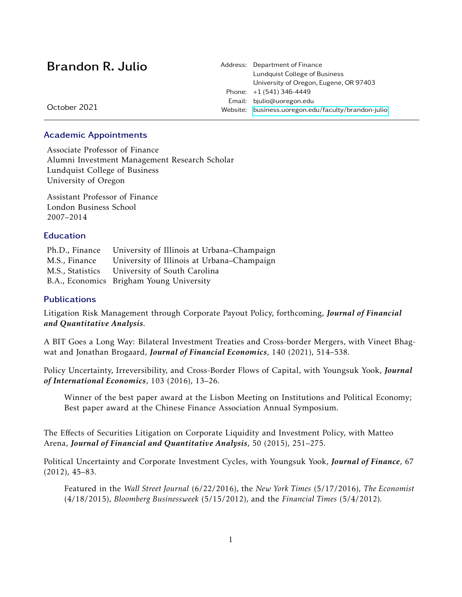| Brandon R. Julio | Address: Department of Finance<br>Lundquist College of Business<br>University of Oregon, Eugene, OR 97403 |
|------------------|-----------------------------------------------------------------------------------------------------------|
|                  | Phone: $+1(541)346-4449$                                                                                  |
| October 2021     | Email: bjulio@uoregon.edu                                                                                 |
|                  | Website: business.uoregon.edu/faculty/brandon-julio                                                       |
|                  |                                                                                                           |

#### Academic Appointments

Associate Professor of Finance Alumni Investment Management Research Scholar Lundquist College of Business University of Oregon

Assistant Professor of Finance London Business School 2007–2014

#### Education

Ph.D., Finance University of Illinois at Urbana–Champaign M.S., Finance University of Illinois at Urbana–Champaign M.S., Statistics University of South Carolina B.A., Economics Brigham Young University

#### **Publications**

Litigation Risk Management through Corporate Payout Policy, forthcoming, *Journal of Financial and Quantitative Analysis*.

A BIT Goes a Long Way: Bilateral Investment Treaties and Cross-border Mergers, with Vineet Bhagwat and Jonathan Brogaard, *Journal of Financial Economics*, 140 (2021), 514–538.

Policy Uncertainty, Irreversibility, and Cross-Border Flows of Capital, with Youngsuk Yook, *Journal of International Economics*, 103 (2016), 13–26.

Winner of the best paper award at the Lisbon Meeting on Institutions and Political Economy; Best paper award at the Chinese Finance Association Annual Symposium.

The Effects of Securities Litigation on Corporate Liquidity and Investment Policy, with Matteo Arena, *Journal of Financial and Quantitative Analysis*, 50 (2015), 251–275.

Political Uncertainty and Corporate Investment Cycles, with Youngsuk Yook, *Journal of Finance*, 67 (2012), 45–83.

Featured in the *Wall Street Journal* (6/22/2016), the *New York Times* (5/17/2016), *The Economist* (4/18/2015), *Bloomberg Businessweek* (5/15/2012), and the *Financial Times* (5/4/2012).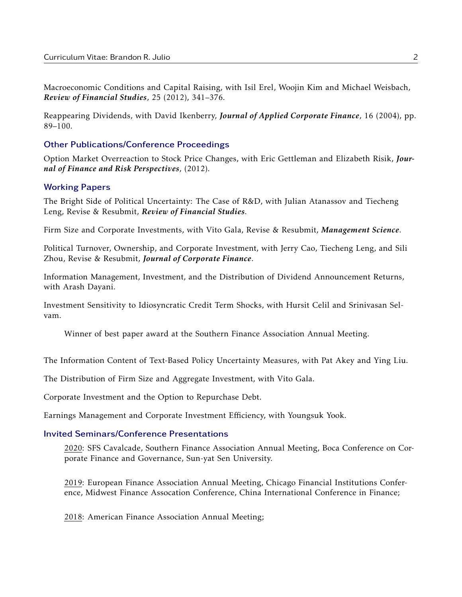Macroeconomic Conditions and Capital Raising, with Isil Erel, Woojin Kim and Michael Weisbach, *Review of Financial Studies*, 25 (2012), 341–376.

Reappearing Dividends, with David Ikenberry, *Journal of Applied Corporate Finance*, 16 (2004), pp. 89–100.

# Other Publications/Conference Proceedings

Option Market Overreaction to Stock Price Changes, with Eric Gettleman and Elizabeth Risik, *Journal of Finance and Risk Perspectives*, (2012).

# Working Papers

The Bright Side of Political Uncertainty: The Case of R&D, with Julian Atanassov and Tiecheng Leng, Revise & Resubmit, *Review of Financial Studies*.

Firm Size and Corporate Investments, with Vito Gala, Revise & Resubmit, *Management Science*.

Political Turnover, Ownership, and Corporate Investment, with Jerry Cao, Tiecheng Leng, and Sili Zhou, Revise & Resubmit, *Journal of Corporate Finance*.

Information Management, Investment, and the Distribution of Dividend Announcement Returns, with Arash Dayani.

Investment Sensitivity to Idiosyncratic Credit Term Shocks, with Hursit Celil and Srinivasan Selvam.

Winner of best paper award at the Southern Finance Association Annual Meeting.

The Information Content of Text-Based Policy Uncertainty Measures, with Pat Akey and Ying Liu.

The Distribution of Firm Size and Aggregate Investment, with Vito Gala.

Corporate Investment and the Option to Repurchase Debt.

Earnings Management and Corporate Investment Efficiency, with Youngsuk Yook.

# Invited Seminars/Conference Presentations

2020: SFS Cavalcade, Southern Finance Association Annual Meeting, Boca Conference on Corporate Finance and Governance, Sun-yat Sen University.

2019: European Finance Association Annual Meeting, Chicago Financial Institutions Conference, Midwest Finance Assocation Conference, China International Conference in Finance;

2018: American Finance Association Annual Meeting;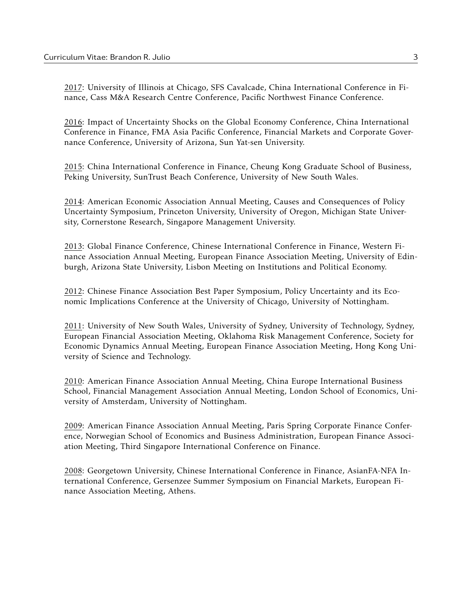2017: University of Illinois at Chicago, SFS Cavalcade, China International Conference in Finance, Cass M&A Research Centre Conference, Pacific Northwest Finance Conference.

2016: Impact of Uncertainty Shocks on the Global Economy Conference, China International Conference in Finance, FMA Asia Pacific Conference, Financial Markets and Corporate Governance Conference, University of Arizona, Sun Yat-sen University.

2015: China International Conference in Finance, Cheung Kong Graduate School of Business, Peking University, SunTrust Beach Conference, University of New South Wales.

2014: American Economic Association Annual Meeting, Causes and Consequences of Policy Uncertainty Symposium, Princeton University, University of Oregon, Michigan State University, Cornerstone Research, Singapore Management University.

2013: Global Finance Conference, Chinese International Conference in Finance, Western Finance Association Annual Meeting, European Finance Association Meeting, University of Edinburgh, Arizona State University, Lisbon Meeting on Institutions and Political Economy.

2012: Chinese Finance Association Best Paper Symposium, Policy Uncertainty and its Economic Implications Conference at the University of Chicago, University of Nottingham.

2011: University of New South Wales, University of Sydney, University of Technology, Sydney, European Financial Association Meeting, Oklahoma Risk Management Conference, Society for Economic Dynamics Annual Meeting, European Finance Association Meeting, Hong Kong University of Science and Technology.

2010: American Finance Association Annual Meeting, China Europe International Business School, Financial Management Association Annual Meeting, London School of Economics, University of Amsterdam, University of Nottingham.

2009: American Finance Association Annual Meeting, Paris Spring Corporate Finance Conference, Norwegian School of Economics and Business Administration, European Finance Association Meeting, Third Singapore International Conference on Finance.

2008: Georgetown University, Chinese International Conference in Finance, AsianFA-NFA International Conference, Gersenzee Summer Symposium on Financial Markets, European Finance Association Meeting, Athens.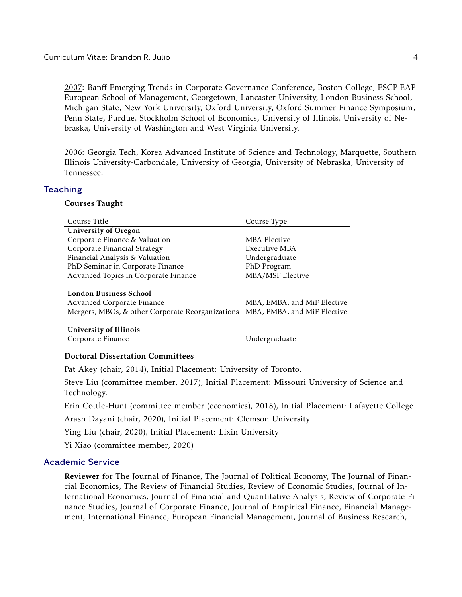2007: Banff Emerging Trends in Corporate Governance Conference, Boston College, ESCP-EAP European School of Management, Georgetown, Lancaster University, London Business School, Michigan State, New York University, Oxford University, Oxford Summer Finance Symposium, Penn State, Purdue, Stockholm School of Economics, University of Illinois, University of Nebraska, University of Washington and West Virginia University.

2006: Georgia Tech, Korea Advanced Institute of Science and Technology, Marquette, Southern Illinois University-Carbondale, University of Georgia, University of Nebraska, University of Tennessee.

#### **Teaching**

# Courses Taught

| Course Title                                                                                             | Course Type                                                |  |
|----------------------------------------------------------------------------------------------------------|------------------------------------------------------------|--|
| <b>University of Oregon</b>                                                                              |                                                            |  |
| Corporate Finance & Valuation                                                                            | <b>MBA Elective</b>                                        |  |
| Corporate Financial Strategy                                                                             | Executive MBA                                              |  |
| Financial Analysis & Valuation                                                                           | Undergraduate                                              |  |
| PhD Seminar in Corporate Finance                                                                         | PhD Program                                                |  |
| Advanced Topics in Corporate Finance                                                                     | <b>MBA/MSF Elective</b>                                    |  |
| London Business School<br>Advanced Corporate Finance<br>Mergers, MBOs, & other Corporate Reorganizations | MBA, EMBA, and MiF Elective<br>MBA, EMBA, and MiF Elective |  |
| University of Illinois<br>Corporate Finance                                                              | Undergraduate                                              |  |
| <b>Doctoral Dissertation Committees</b>                                                                  |                                                            |  |
| Pat Akey (chair, 2014), Initial Placement: University of Toronto.                                        |                                                            |  |

Steve Liu (committee member, 2017), Initial Placement: Missouri University of Science and Technology.

Erin Cottle-Hunt (committee member (economics), 2018), Initial Placement: Lafayette College

Arash Dayani (chair, 2020), Initial Placement: Clemson University

Ying Liu (chair, 2020), Initial Placement: Lixin University

Yi Xiao (committee member, 2020)

# Academic Service

Reviewer for The Journal of Finance, The Journal of Political Economy, The Journal of Financial Economics, The Review of Financial Studies, Review of Economic Studies, Journal of International Economics, Journal of Financial and Quantitative Analysis, Review of Corporate Finance Studies, Journal of Corporate Finance, Journal of Empirical Finance, Financial Management, International Finance, European Financial Management, Journal of Business Research,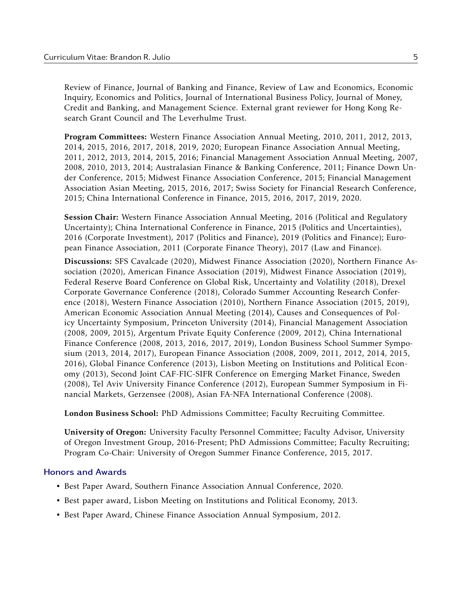Review of Finance, Journal of Banking and Finance, Review of Law and Economics, Economic Inquiry, Economics and Politics, Journal of International Business Policy, Journal of Money, Credit and Banking, and Management Science. External grant reviewer for Hong Kong Research Grant Council and The Leverhulme Trust.

Program Committees: Western Finance Association Annual Meeting, 2010, 2011, 2012, 2013, 2014, 2015, 2016, 2017, 2018, 2019, 2020; European Finance Association Annual Meeting, 2011, 2012, 2013, 2014, 2015, 2016; Financial Management Association Annual Meeting, 2007, 2008, 2010, 2013, 2014; Australasian Finance & Banking Conference, 2011; Finance Down Under Conference, 2015; Midwest Finance Association Conference, 2015; Financial Management Association Asian Meeting, 2015, 2016, 2017; Swiss Society for Financial Research Conference, 2015; China International Conference in Finance, 2015, 2016, 2017, 2019, 2020.

Session Chair: Western Finance Association Annual Meeting, 2016 (Political and Regulatory Uncertainty); China International Conference in Finance, 2015 (Politics and Uncertainties), 2016 (Corporate Investment), 2017 (Politics and Finance), 2019 (Politics and Finance); European Finance Association, 2011 (Corporate Finance Theory), 2017 (Law and Finance).

Discussions: SFS Cavalcade (2020), Midwest Finance Association (2020), Northern Finance Association (2020), American Finance Association (2019), Midwest Finance Association (2019), Federal Reserve Board Conference on Global Risk, Uncertainty and Volatility (2018), Drexel Corporate Governance Conference (2018), Colorado Summer Accounting Research Conference (2018), Western Finance Association (2010), Northern Finance Association (2015, 2019), American Economic Association Annual Meeting (2014), Causes and Consequences of Policy Uncertainty Symposium, Princeton University (2014), Financial Management Association (2008, 2009, 2015), Argentum Private Equity Conference (2009, 2012), China International Finance Conference (2008, 2013, 2016, 2017, 2019), London Business School Summer Symposium (2013, 2014, 2017), European Finance Association (2008, 2009, 2011, 2012, 2014, 2015, 2016), Global Finance Conference (2013), Lisbon Meeting on Institutions and Political Economy (2013), Second Joint CAF-FIC-SIFR Conference on Emerging Market Finance, Sweden (2008), Tel Aviv University Finance Conference (2012), European Summer Symposium in Financial Markets, Gerzensee (2008), Asian FA-NFA International Conference (2008).

London Business School: PhD Admissions Committee; Faculty Recruiting Committee.

University of Oregon: University Faculty Personnel Committee; Faculty Advisor, University of Oregon Investment Group, 2016-Present; PhD Admissions Committee; Faculty Recruiting; Program Co-Chair: University of Oregon Summer Finance Conference, 2015, 2017.

# Honors and Awards

- Best Paper Award, Southern Finance Association Annual Conference, 2020.
- Best paper award, Lisbon Meeting on Institutions and Political Economy, 2013.
- Best Paper Award, Chinese Finance Association Annual Symposium, 2012.